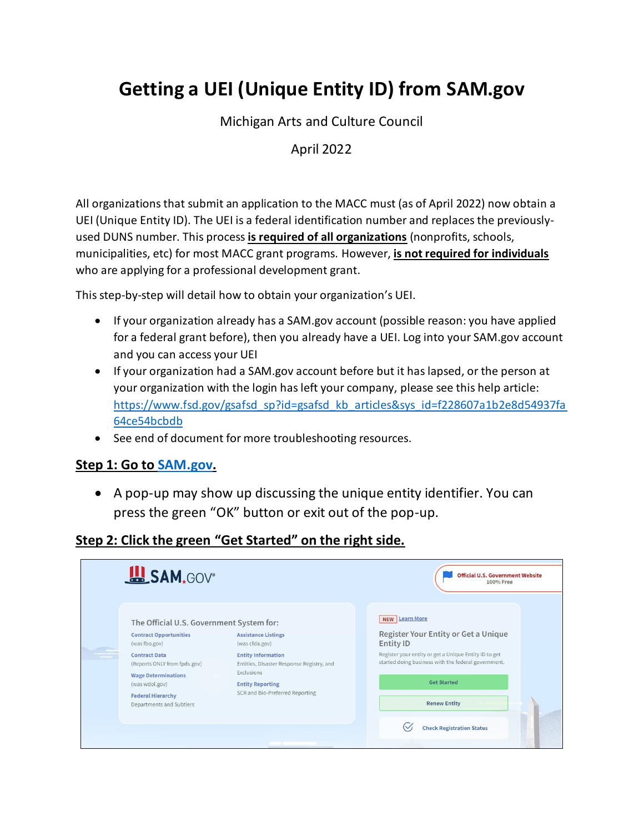# **Getting a UEI (Unique Entity ID) from SAM.gov**

Michigan Arts and Culture Council

### April 2022

All organizations that submit an application to the MACC must (as of April 2022) now obtain a UEI (Unique Entity ID). The UEI is a federal identification number and replaces the previouslyused DUNS number. This process **is required of all organizations** (nonprofits, schools, municipalities, etc) for most MACC grant programs. However, **is not required for individuals** who are applying for a professional development grant.

This step-by-step will detail how to obtain your organization's UEI.

- If your organization already has a SAM.gov account (possible reason: you have applied for a federal grant before), then you already have a UEI. Log into your SAM.gov account and you can access your UEI
- If your organization had a SAM.gov account before but it has lapsed, or the person at your organization with the login has left your company, please see this help article: [https://www.fsd.gov/gsafsd\\_sp?id=gsafsd\\_kb\\_articles&sys\\_id=f228607a1b2e8d54937fa](https://www.fsd.gov/gsafsd_sp?id=gsafsd_kb_articles&sys_id=f228607a1b2e8d54937fa64ce54bcbdb) [64ce54bcbdb](https://www.fsd.gov/gsafsd_sp?id=gsafsd_kb_articles&sys_id=f228607a1b2e8d54937fa64ce54bcbdb)
- See end of document for more troubleshooting resources.

#### **Step 1: Go to [SAM.gov.](SAM.gov)**

• A pop-up may show up discussing the unique entity identifier. You can press the green "OK" button or exit out of the pop-up.

#### **Step 2: Click the green "Get Started" on the right side.**

| SAM, GOV <sup>®</sup>                                                                                                                                        |                                                                                                                                                    | <b>Official U.S. Government Website</b><br>100% Free                                                                                                      |
|--------------------------------------------------------------------------------------------------------------------------------------------------------------|----------------------------------------------------------------------------------------------------------------------------------------------------|-----------------------------------------------------------------------------------------------------------------------------------------------------------|
| The Official U.S. Government System for:<br><b>Contract Opportunities</b><br>(was fbo.gov)                                                                   | <b>Assistance Listings</b><br>(was cfda.gov)                                                                                                       | NEW Learn More<br>Register Your Entity or Get a Unique<br>Entity ID                                                                                       |
| <b>Contract Data</b><br>(Reports ONLY from fpds.gov)<br><b>Wage Determinations</b><br>(was wdol.gov)<br><b>Federal Hierarchy</b><br>Departments and Subtiers | <b>Entity Information</b><br>Entities, Disaster Response Registry, and<br>Exclusions<br><b>Entity Reporting</b><br>SCR and Bio-Preferred Reporting | Register your entity or get a Unique Entity ID to get<br>started doing business with the federal government.<br><b>Get Started</b><br><b>Renew Entity</b> |
|                                                                                                                                                              |                                                                                                                                                    | <b>Check Registration Status</b>                                                                                                                          |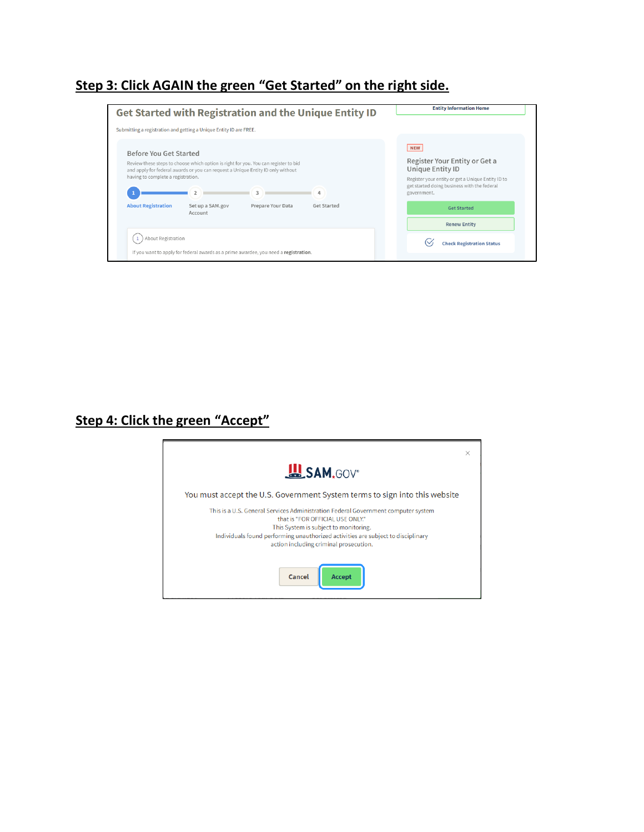### **Step 3: Click AGAIN the green "Get Started" on the right side.**

| Get Started with Registration and the Unique Entity ID                                                                                                                                                                                                                                                                             | <b>Entity Information Home</b>                                                                                                                                                     |
|------------------------------------------------------------------------------------------------------------------------------------------------------------------------------------------------------------------------------------------------------------------------------------------------------------------------------------|------------------------------------------------------------------------------------------------------------------------------------------------------------------------------------|
| Submitting a registration and getting a Unique Entity ID are FREE.                                                                                                                                                                                                                                                                 |                                                                                                                                                                                    |
| Before You Get Started<br>Review these steps to choose which option is right for you. You can register to bid<br>and apply for federal awards or you can request a Unique Entity ID only without<br>having to complete a registration.<br><b>About Registration</b><br>Set up a SAM.gov<br>Prepare Your Data<br><b>Get Started</b> | <b>NEW</b><br>Register Your Entity or Get a<br>Unique Entity ID<br>Register your entity or get a Unique Entity ID to<br>get started doing business with the federal<br>government. |
| Account                                                                                                                                                                                                                                                                                                                            | <b>Get Started</b><br><b>Renew Entity</b>                                                                                                                                          |
| About Registration                                                                                                                                                                                                                                                                                                                 | <b>Check Registration Status</b>                                                                                                                                                   |

### **Step 4: Click the green "Accept"**

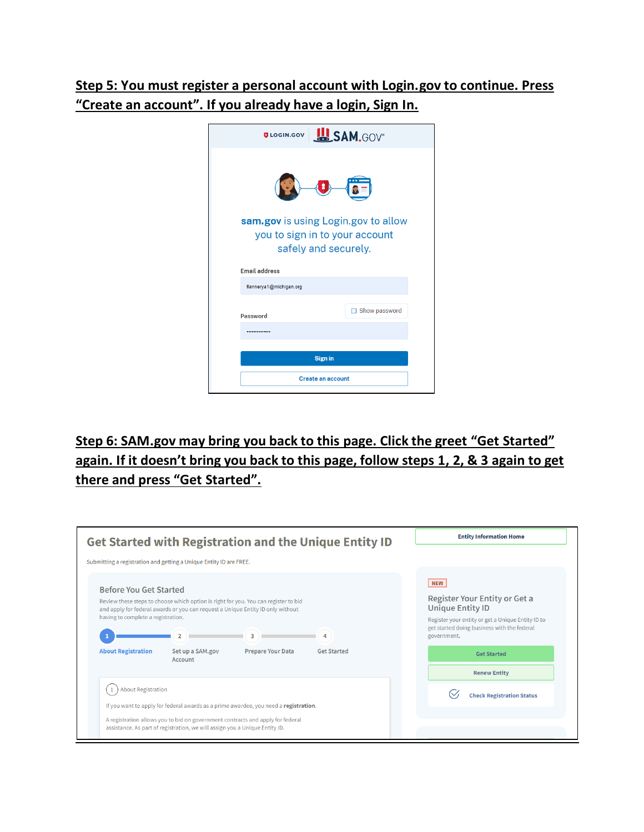### **Step 5: You must register a personal account with Login.gov to continue. Press "Create an account". If you already have a login, Sign In.**



# **Step 6: SAM.gov may bring you back to this page. Click the greet "Get Started" again. If it doesn't bring you back to this page, follow steps 1, 2, & 3 again to get there and press "Get Started".**

|                                                                                           | Get Started with Registration and the Unique Entity ID                                                                                                                                                                                                                                  | <b>Entity Information Home</b>                                                                                                                                                                                                  |
|-------------------------------------------------------------------------------------------|-----------------------------------------------------------------------------------------------------------------------------------------------------------------------------------------------------------------------------------------------------------------------------------------|---------------------------------------------------------------------------------------------------------------------------------------------------------------------------------------------------------------------------------|
|                                                                                           | Submitting a registration and getting a Unique Entity ID are FREE.                                                                                                                                                                                                                      |                                                                                                                                                                                                                                 |
| Before You Get Started<br>having to complete a registration.<br><b>About Registration</b> | Review these steps to choose which option is right for you. You can register to bid<br>and apply for federal awards or you can request a Unique Entity ID only without<br>$\mathfrak{D}$<br>$\mathbf{z}$<br>4<br>Prepare Your Data<br>Set up a SAM.gov<br><b>Get Started</b><br>Account | <b>NEW</b><br>Register Your Entity or Get a<br>Unique Entity ID<br>Register your entity or get a Unique Entity ID to<br>get started doing business with the federal<br>government.<br><b>Get Started</b><br><b>Renew Entity</b> |
| About Registration                                                                        | If you want to apply for federal awards as a prime awardee, you need a registration.                                                                                                                                                                                                    | <b>Check Registration Status</b>                                                                                                                                                                                                |
|                                                                                           | A registration allows you to bid on government contracts and apply for federal<br>assistance. As part of registration, we will assign you a Unique Entity ID.                                                                                                                           |                                                                                                                                                                                                                                 |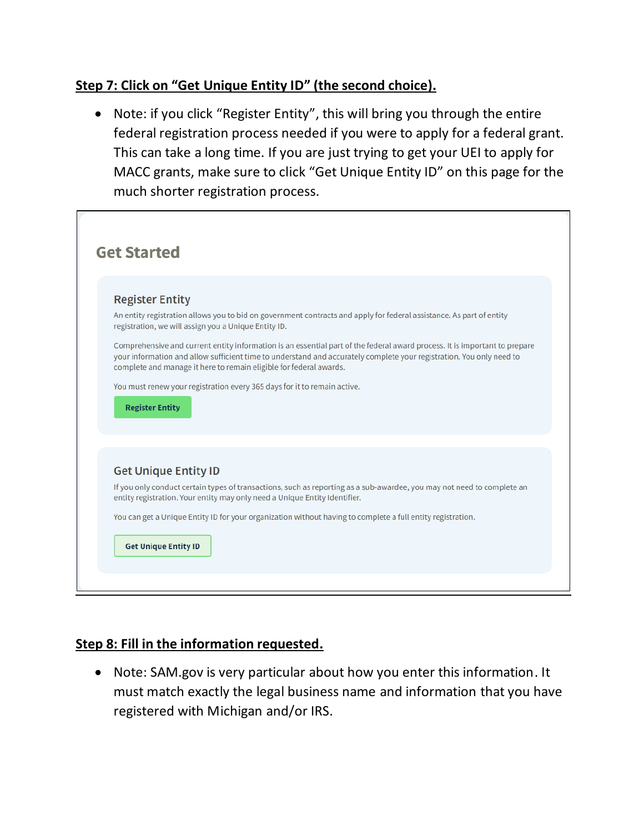### **Step 7: Click on "Get Unique Entity ID" (the second choice).**

• Note: if you click "Register Entity", this will bring you through the entire federal registration process needed if you were to apply for a federal grant. This can take a long time. If you are just trying to get your UEI to apply for MACC grants, make sure to click "Get Unique Entity ID" on this page for the much shorter registration process.

| <b>Get Started</b>                                                                                                                                                                                                                                                                                                                                                                                                                                                                                                                                                                                             |
|----------------------------------------------------------------------------------------------------------------------------------------------------------------------------------------------------------------------------------------------------------------------------------------------------------------------------------------------------------------------------------------------------------------------------------------------------------------------------------------------------------------------------------------------------------------------------------------------------------------|
| <b>Register Entity</b><br>An entity registration allows you to bid on government contracts and apply for federal assistance. As part of entity<br>registration, we will assign you a Unique Entity ID.<br>Comprehensive and current entity information is an essential part of the federal award process. It is important to prepare<br>your information and allow sufficient time to understand and accurately complete your registration. You only need to<br>complete and manage it here to remain eligible for federal awards.<br>You must renew your registration every 365 days for it to remain active. |
| <b>Register Entity</b>                                                                                                                                                                                                                                                                                                                                                                                                                                                                                                                                                                                         |
| <b>Get Unique Entity ID</b>                                                                                                                                                                                                                                                                                                                                                                                                                                                                                                                                                                                    |
| If you only conduct certain types of transactions, such as reporting as a sub-awardee, you may not need to complete an<br>entity registration. Your entity may only need a Unique Entity Identifier.                                                                                                                                                                                                                                                                                                                                                                                                           |
| You can get a Unique Entity ID for your organization without having to complete a full entity registration.                                                                                                                                                                                                                                                                                                                                                                                                                                                                                                    |
| <b>Get Unique Entity ID</b>                                                                                                                                                                                                                                                                                                                                                                                                                                                                                                                                                                                    |

#### **Step 8: Fill in the information requested.**

• Note: SAM.gov is very particular about how you enter this information. It must match exactly the legal business name and information that you have registered with Michigan and/or IRS.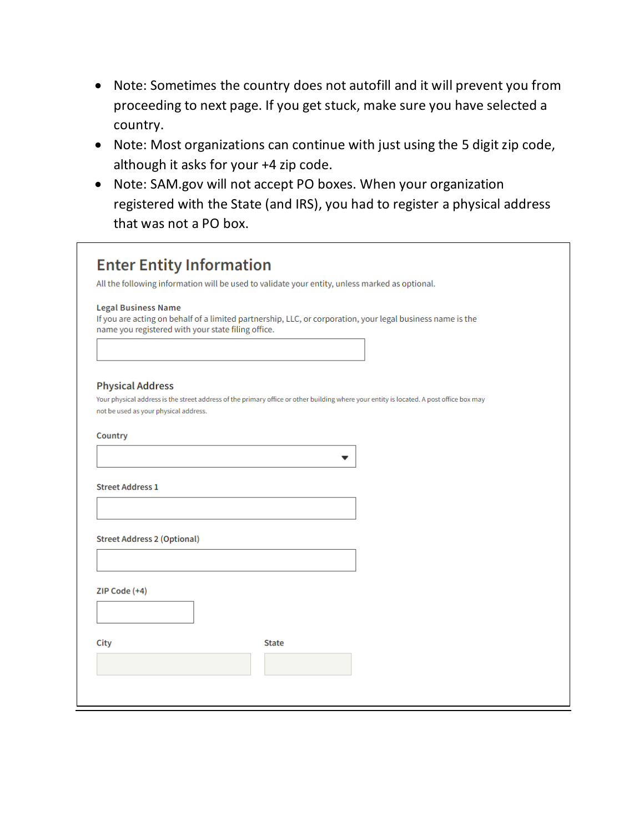- Note: Sometimes the country does not autofill and it will prevent you from proceeding to next page. If you get stuck, make sure you have selected a country.
- Note: Most organizations can continue with just using the 5 digit zip code, although it asks for your +4 zip code.
- Note: SAM.gov will not accept PO boxes. When your organization registered with the State (and IRS), you had to register a physical address that was not a PO box.

|                                                               | All the following information will be used to validate your entity, unless marked as optional.                                          |  |
|---------------------------------------------------------------|-----------------------------------------------------------------------------------------------------------------------------------------|--|
| <b>Legal Business Name</b>                                    | If you are acting on behalf of a limited partnership, LLC, or corporation, your legal business name is the                              |  |
| name you registered with your state filing office.            |                                                                                                                                         |  |
|                                                               |                                                                                                                                         |  |
|                                                               |                                                                                                                                         |  |
| <b>Physical Address</b>                                       |                                                                                                                                         |  |
|                                                               | Your physical address is the street address of the primary office or other building where your entity is located. A post office box may |  |
| not be used as your physical address.                         |                                                                                                                                         |  |
| Country                                                       |                                                                                                                                         |  |
|                                                               |                                                                                                                                         |  |
|                                                               |                                                                                                                                         |  |
|                                                               | ▼                                                                                                                                       |  |
|                                                               |                                                                                                                                         |  |
|                                                               |                                                                                                                                         |  |
|                                                               |                                                                                                                                         |  |
|                                                               |                                                                                                                                         |  |
|                                                               |                                                                                                                                         |  |
| <b>Street Address 1</b><br><b>Street Address 2 (Optional)</b> |                                                                                                                                         |  |
|                                                               |                                                                                                                                         |  |
|                                                               |                                                                                                                                         |  |
|                                                               |                                                                                                                                         |  |
|                                                               |                                                                                                                                         |  |
|                                                               | <b>State</b>                                                                                                                            |  |
| ZIP Code (+4)<br>City                                         |                                                                                                                                         |  |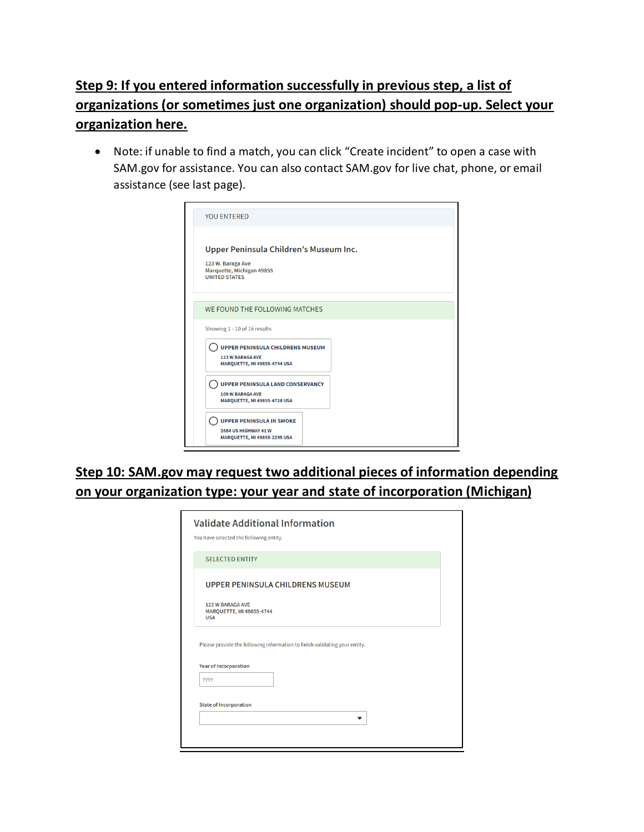## **Step 9: If you entered information successfully in previous step, a list of organizations (or sometimes just one organization) should pop-up. Select your organization here.**

• Note: if unable to find a match, you can click "Create incident" to open a case with SAM.gov for assistance. You can also contact SAM.gov for live chat, phone, or email assistance (see last page).

| <b>YOU ENTERED</b>                                                                                               |
|------------------------------------------------------------------------------------------------------------------|
| Upper Peninsula Children's Museum Inc.<br>123 W. Baraga Ave<br>Marquette, Michigan 49855<br><b>UNITED STATES</b> |
| WE FOUND THE FOLLOWING MATCHES                                                                                   |
| Showing 1 - 10 of 16 results                                                                                     |
| <b>UPPER PENINSULA CHILDRENS MUSEUM</b><br><b>123 W BARAGA AVE</b><br><b>MARQUETTE, MI 49855-4744 USA</b>        |
| <b>UPPER PENINSULA LAND CONSERVANCY</b><br><b>109 W BARAGA AVE</b><br><b>MARQUETTE, MI 49855-4728 USA</b>        |
| <b>UPPER PENINSULA IN SMOKE</b><br><b>2684 US HIGHWAY 41 W</b><br><b>MARQUETTE, MI 49855-2295 USA</b>            |

**Step 10: SAM.gov may request two additional pieces of information depending on your organization type: your year and state of incorporation (Michigan)**

|                                         | You have selected the following entity.<br><b>SELECTED ENTITY</b> |                                                                            |  |  |
|-----------------------------------------|-------------------------------------------------------------------|----------------------------------------------------------------------------|--|--|
| <b>UPPER PENINSULA CHILDRENS MUSEUM</b> |                                                                   |                                                                            |  |  |
| <b>USA</b>                              | <b>123 W BARAGA AVE</b><br>MARQUETTE, MI 49855-4744               |                                                                            |  |  |
|                                         |                                                                   | Please provide the following information to finish validating your entity. |  |  |
|                                         | <b>Year of Incorporation</b>                                      |                                                                            |  |  |
| <b>YYYY</b>                             |                                                                   |                                                                            |  |  |
|                                         | <b>State of Incorporation</b>                                     |                                                                            |  |  |
|                                         |                                                                   |                                                                            |  |  |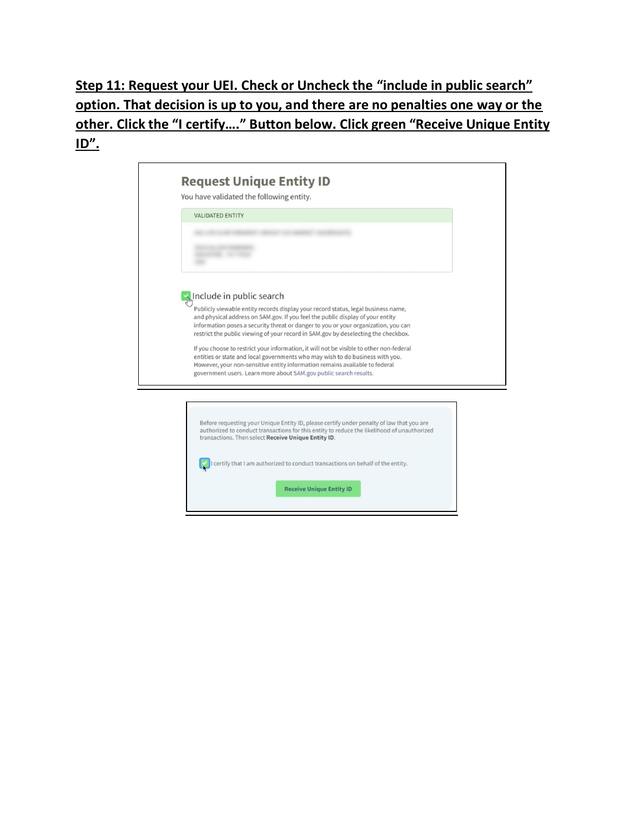**Step 11: Request your UEI. Check or Uncheck the "include in public search" option. That decision is up to you, and there are no penalties one way or the other. Click the "I certify…." Button below. Click green "Receive Unique Entity ID".**

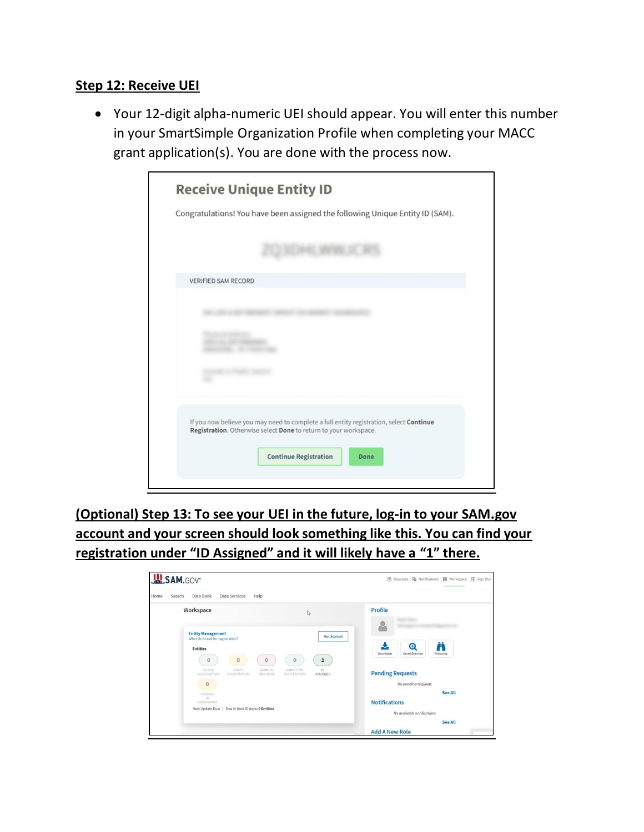### **Step 12: Receive UEI**

• Your 12-digit alpha-numeric UEI should appear. You will enter this number in your SmartSimple Organization Profile when completing your MACC grant application(s). You are done with the process now.

| <b>Receive Unique Entity ID</b>                                                                                                                                                                            |
|------------------------------------------------------------------------------------------------------------------------------------------------------------------------------------------------------------|
| Congratulations! You have been assigned the following Unique Entity ID (SAM).                                                                                                                              |
|                                                                                                                                                                                                            |
| <b>VERIFIED SAM RECORD</b>                                                                                                                                                                                 |
|                                                                                                                                                                                                            |
|                                                                                                                                                                                                            |
|                                                                                                                                                                                                            |
| If you now believe you may need to complete a full entity registration, select Continue<br>Registration. Otherwise select Done to return to your workspace.<br><b>Continue Registration</b><br><b>Done</b> |

**(Optional) Step 13: To see your UEI in the future, log-in to your SAM.gov account and your screen should look something like this. You can find your registration under "ID Assigned" and it will likely have a "1" there.** 

| <b>USAM.GOV</b>                                                                                                                                      |                                                    |
|------------------------------------------------------------------------------------------------------------------------------------------------------|----------------------------------------------------|
| Home<br>Data Bank<br>Data Services<br>Help<br>Search                                                                                                 |                                                    |
| Workspace<br>I.                                                                                                                                      | Profile                                            |
| <b>Entity Management</b><br><b>Get Started</b><br>What do I need for registration?<br><b>Entities</b><br>$\circ$<br>0<br>$\circ$<br>$\mathbf 1$<br>0 | Ä<br>Θ<br>Saved Searches<br>Downloads<br>Following |
| DRAFT<br>1D<br><b>ACTIVE</b><br>WORK IN<br>SUBMITTED<br>REGISTRATION<br>ASSIGNED<br>REGISTRATION<br>REGISTRATION<br>PROGRESS<br>$\circ$              | <b>Pending Requests</b><br>No pending requests     |
| PENDING<br>1D)<br>ASSIGNMENT                                                                                                                         | <b>See All</b><br><b>Notifications</b>             |
| Due in Next 30 days: 0 Entities<br>Next Update Due:                                                                                                  | No available notifications<br><b>See All</b>       |
|                                                                                                                                                      | <b>Add A New Role</b>                              |